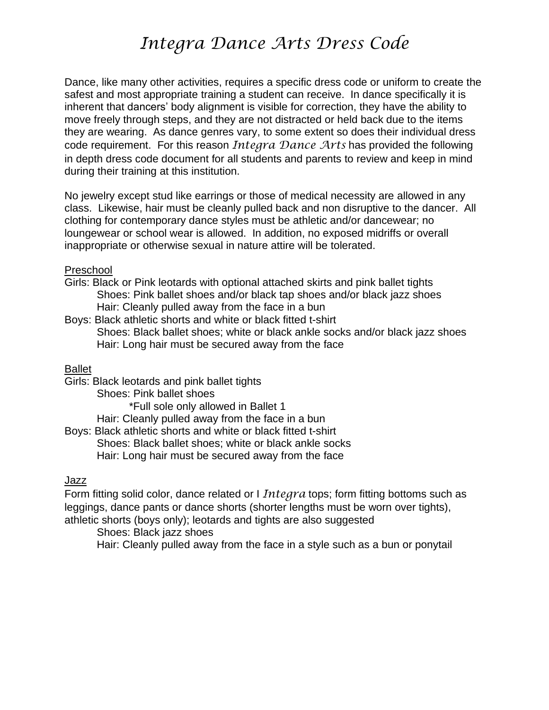# *Integra Dance Arts Dress Code*

Dance, like many other activities, requires a specific dress code or uniform to create the safest and most appropriate training a student can receive. In dance specifically it is inherent that dancers' body alignment is visible for correction, they have the ability to move freely through steps, and they are not distracted or held back due to the items they are wearing. As dance genres vary, to some extent so does their individual dress code requirement. For this reason *Integra Dance Arts* has provided the following in depth dress code document for all students and parents to review and keep in mind during their training at this institution.

No jewelry except stud like earrings or those of medical necessity are allowed in any class. Likewise, hair must be cleanly pulled back and non disruptive to the dancer. All clothing for contemporary dance styles must be athletic and/or dancewear; no loungewear or school wear is allowed. In addition, no exposed midriffs or overall inappropriate or otherwise sexual in nature attire will be tolerated.

#### Preschool

Girls: Black or Pink leotards with optional attached skirts and pink ballet tights Shoes: Pink ballet shoes and/or black tap shoes and/or black jazz shoes Hair: Cleanly pulled away from the face in a bun

Boys: Black athletic shorts and white or black fitted t-shirt Shoes: Black ballet shoes; white or black ankle socks and/or black jazz shoes Hair: Long hair must be secured away from the face

#### Ballet

Girls: Black leotards and pink ballet tights Shoes: Pink ballet shoes \*Full sole only allowed in Ballet 1 Hair: Cleanly pulled away from the face in a bun Boys: Black athletic shorts and white or black fitted t-shirt Shoes: Black ballet shoes; white or black ankle socks Hair: Long hair must be secured away from the face

#### Jazz

Form fitting solid color, dance related or I *Integra* tops; form fitting bottoms such as leggings, dance pants or dance shorts (shorter lengths must be worn over tights), athletic shorts (boys only); leotards and tights are also suggested

Shoes: Black jazz shoes Hair: Cleanly pulled away from the face in a style such as a bun or ponytail